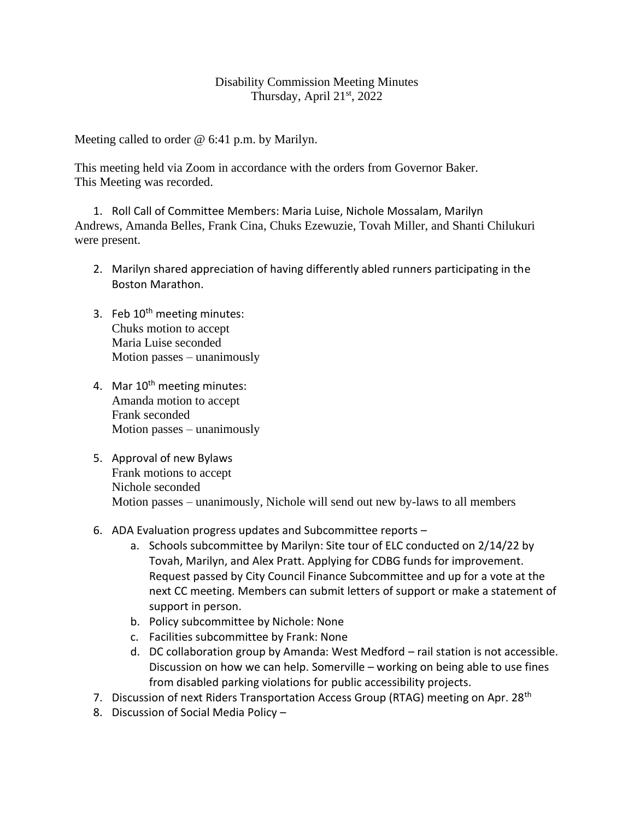## Disability Commission Meeting Minutes Thursday, April  $21<sup>st</sup>$ , 2022

Meeting called to order @ 6:41 p.m. by Marilyn.

This meeting held via Zoom in accordance with the orders from Governor Baker. This Meeting was recorded.

1. Roll Call of Committee Members: Maria Luise, Nichole Mossalam, Marilyn Andrews, Amanda Belles, Frank Cina, Chuks Ezewuzie, Tovah Miller, and Shanti Chilukuri were present.

- 2. Marilyn shared appreciation of having differently abled runners participating in the Boston Marathon.
- 3. Feb  $10<sup>th</sup>$  meeting minutes: Chuks motion to accept Maria Luise seconded Motion passes – unanimously
- 4. Mar 10<sup>th</sup> meeting minutes: Amanda motion to accept Frank seconded Motion passes – unanimously
- 5. Approval of new Bylaws Frank motions to accept Nichole seconded Motion passes – unanimously, Nichole will send out new by-laws to all members
- 6. ADA Evaluation progress updates and Subcommittee reports
	- a. Schools subcommittee by Marilyn: Site tour of ELC conducted on 2/14/22 by Tovah, Marilyn, and Alex Pratt. Applying for CDBG funds for improvement. Request passed by City Council Finance Subcommittee and up for a vote at the next CC meeting. Members can submit letters of support or make a statement of support in person.
	- b. Policy subcommittee by Nichole: None
	- c. Facilities subcommittee by Frank: None
	- d. DC collaboration group by Amanda: West Medford rail station is not accessible. Discussion on how we can help. Somerville – working on being able to use fines from disabled parking violations for public accessibility projects.
- 7. Discussion of next Riders Transportation Access Group (RTAG) meeting on Apr. 28<sup>th</sup>
- 8. Discussion of Social Media Policy –